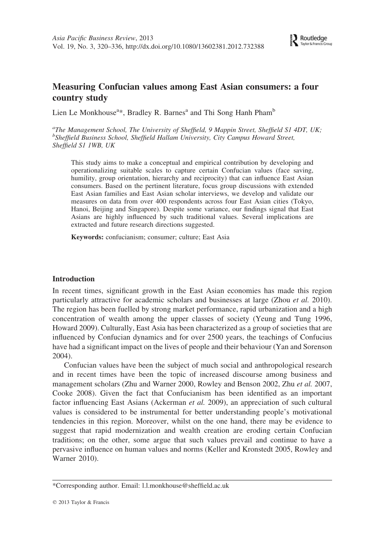# Measuring Confucian values among East Asian consumers: a four country study

Lien Le Monkhouse<sup>a\*</sup>, Bradley R. Barnes<sup>a</sup> and Thi Song Hanh Pham<sup>b</sup>

<sup>a</sup>The Management School, The University of Sheffield, 9 Mappin Street, Sheffield S1 4DT, UK; <sup>b</sup>Sheffield Business School, Sheffield Hallam University, City Campus Howard Street, Sheffield S1 1WB, UK

This study aims to make a conceptual and empirical contribution by developing and operationalizing suitable scales to capture certain Confucian values (face saving, humility, group orientation, hierarchy and reciprocity) that can influence East Asian consumers. Based on the pertinent literature, focus group discussions with extended East Asian families and East Asian scholar interviews, we develop and validate our measures on data from over 400 respondents across four East Asian cities (Tokyo, Hanoi, Beijing and Singapore). Despite some variance, our findings signal that East Asians are highly influenced by such traditional values. Several implications are extracted and future research directions suggested.

Keywords: confucianism; consumer; culture; East Asia

### Introduction

In recent times, significant growth in the East Asian economies has made this region particularly attractive for academic scholars and businesses at large (Zhou *et al.* 2010). The region has been fuelled by strong market performance, rapid urbanization and a high concentration of wealth among the upper classes of society (Yeung and Tung 1996, Howard 2009). Culturally, East Asia has been characterized as a group of societies that are influenced by Confucian dynamics and for over 2500 years, the teachings of Confucius have had a significant impact on the lives of people and their behaviour (Yan and Sorenson 2004).

Confucian values have been the subject of much social and anthropological research and in recent times have been the topic of increased discourse among business and management scholars (Zhu and Warner 2000, Rowley and Benson 2002, Zhu et al. 2007, Cooke 2008). Given the fact that Confucianism has been identified as an important factor influencing East Asians (Ackerman et al. 2009), an appreciation of such cultural values is considered to be instrumental for better understanding people's motivational tendencies in this region. Moreover, whilst on the one hand, there may be evidence to suggest that rapid modernization and wealth creation are eroding certain Confucian traditions; on the other, some argue that such values prevail and continue to have a pervasive influence on human values and norms (Keller and Kronstedt 2005, Rowley and Warner 2010).

<sup>\*</sup>Corresponding author. Email: l.l.monkhouse@sheffield.ac.uk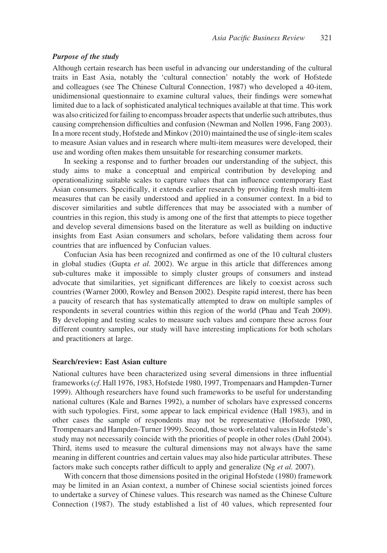### Purpose of the study

Although certain research has been useful in advancing our understanding of the cultural traits in East Asia, notably the 'cultural connection' notably the work of Hofstede and colleagues (see The Chinese Cultural Connection, 1987) who developed a 40-item, unidimensional questionnaire to examine cultural values, their findings were somewhat limited due to a lack of sophisticated analytical techniques available at that time. This work was also criticized for failing to encompass broader aspects that underlie such attributes, thus causing comprehension difficulties and confusion (Newman and Nollen 1996, Fang 2003). In a more recent study, Hofstede and Minkov (2010) maintained the use of single-item scales to measure Asian values and in research where multi-item measures were developed, their use and wording often makes them unsuitable for researching consumer markets.

In seeking a response and to further broaden our understanding of the subject, this study aims to make a conceptual and empirical contribution by developing and operationalizing suitable scales to capture values that can influence contemporary East Asian consumers. Specifically, it extends earlier research by providing fresh multi-item measures that can be easily understood and applied in a consumer context. In a bid to discover similarities and subtle differences that may be associated with a number of countries in this region, this study is among one of the first that attempts to piece together and develop several dimensions based on the literature as well as building on inductive insights from East Asian consumers and scholars, before validating them across four countries that are influenced by Confucian values.

Confucian Asia has been recognized and confirmed as one of the 10 cultural clusters in global studies (Gupta et al. 2002). We argue in this article that differences among sub-cultures make it impossible to simply cluster groups of consumers and instead advocate that similarities, yet significant differences are likely to coexist across such countries (Warner 2000, Rowley and Benson 2002). Despite rapid interest, there has been a paucity of research that has systematically attempted to draw on multiple samples of respondents in several countries within this region of the world (Phau and Teah 2009). By developing and testing scales to measure such values and compare these across four different country samples, our study will have interesting implications for both scholars and practitioners at large.

#### Search/review: East Asian culture

National cultures have been characterized using several dimensions in three influential frameworks (cf. Hall 1976, 1983, Hofstede 1980, 1997, Trompenaars and Hampden-Turner 1999). Although researchers have found such frameworks to be useful for understanding national cultures (Kale and Barnes 1992), a number of scholars have expressed concerns with such typologies. First, some appear to lack empirical evidence (Hall 1983), and in other cases the sample of respondents may not be representative (Hofstede 1980, Trompenaars and Hampden-Turner 1999). Second, those work-related values in Hofstede's study may not necessarily coincide with the priorities of people in other roles (Dahl 2004). Third, items used to measure the cultural dimensions may not always have the same meaning in different countries and certain values may also hide particular attributes. These factors make such concepts rather difficult to apply and generalize (Ng et al. 2007).

With concern that those dimensions posited in the original Hofstede (1980) framework may be limited in an Asian context, a number of Chinese social scientists joined forces to undertake a survey of Chinese values. This research was named as the Chinese Culture Connection (1987). The study established a list of 40 values, which represented four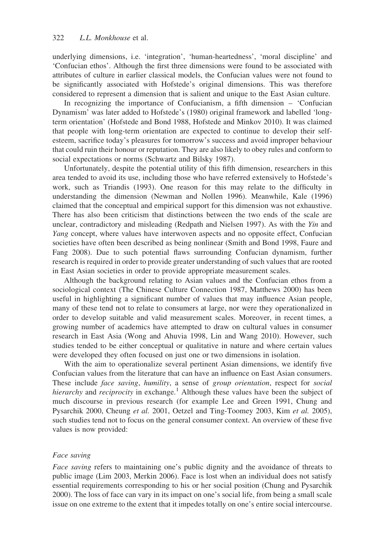underlying dimensions, i.e. 'integration', 'human-heartedness', 'moral discipline' and 'Confucian ethos'. Although the first three dimensions were found to be associated with attributes of culture in earlier classical models, the Confucian values were not found to be significantly associated with Hofstede's original dimensions. This was therefore considered to represent a dimension that is salient and unique to the East Asian culture.

In recognizing the importance of Confucianism, a fifth dimension – 'Confucian Dynamism' was later added to Hofstede's (1980) original framework and labelled 'longterm orientation' (Hofstede and Bond 1988, Hofstede and Minkov 2010). It was claimed that people with long-term orientation are expected to continue to develop their selfesteem, sacrifice today's pleasures for tomorrow's success and avoid improper behaviour that could ruin their honour or reputation. They are also likely to obey rules and conform to social expectations or norms (Schwartz and Bilsky 1987).

Unfortunately, despite the potential utility of this fifth dimension, researchers in this area tended to avoid its use, including those who have referred extensively to Hofstede's work, such as Triandis (1993). One reason for this may relate to the difficulty in understanding the dimension (Newman and Nollen 1996). Meanwhile, Kale (1996) claimed that the conceptual and empirical support for this dimension was not exhaustive. There has also been criticism that distinctions between the two ends of the scale are unclear, contradictory and misleading (Redpath and Nielsen 1997). As with the Yin and Yang concept, where values have interwoven aspects and no opposite effect, Confucian societies have often been described as being nonlinear (Smith and Bond 1998, Faure and Fang 2008). Due to such potential flaws surrounding Confucian dynamism, further research is required in order to provide greater understanding of such values that are rooted in East Asian societies in order to provide appropriate measurement scales.

Although the background relating to Asian values and the Confucian ethos from a sociological context (The Chinese Culture Connection 1987, Matthews 2000) has been useful in highlighting a significant number of values that may influence Asian people, many of these tend not to relate to consumers at large, nor were they operationalized in order to develop suitable and valid measurement scales. Moreover, in recent times, a growing number of academics have attempted to draw on cultural values in consumer research in East Asia (Wong and Ahuvia 1998, Lin and Wang 2010). However, such studies tended to be either conceptual or qualitative in nature and where certain values were developed they often focused on just one or two dimensions in isolation.

With the aim to operationalize several pertinent Asian dimensions, we identify five Confucian values from the literature that can have an influence on East Asian consumers. These include face saving, humility, a sense of group orientation, respect for social hierarchy and reciprocity in exchange.<sup>1</sup> Although these values have been the subject of much discourse in previous research (for example Lee and Green 1991, Chung and Pysarchik 2000, Cheung et al. 2001, Oetzel and Ting-Toomey 2003, Kim et al. 2005), such studies tend not to focus on the general consumer context. An overview of these five values is now provided:

#### Face saving

Face saving refers to maintaining one's public dignity and the avoidance of threats to public image (Lim 2003, Merkin 2006). Face is lost when an individual does not satisfy essential requirements corresponding to his or her social position (Chung and Pysarchik 2000). The loss of face can vary in its impact on one's social life, from being a small scale issue on one extreme to the extent that it impedes totally on one's entire social intercourse.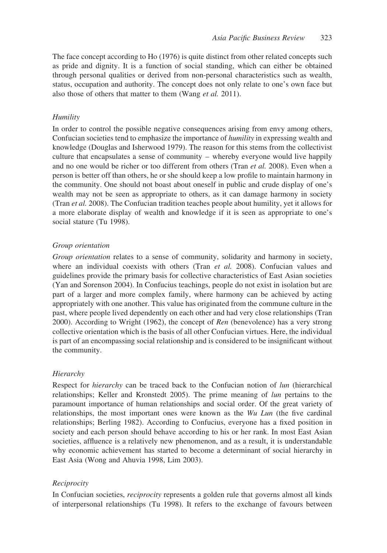The face concept according to Ho (1976) is quite distinct from other related concepts such as pride and dignity. It is a function of social standing, which can either be obtained through personal qualities or derived from non-personal characteristics such as wealth, status, occupation and authority. The concept does not only relate to one's own face but also those of others that matter to them (Wang et al. 2011).

# Humility

In order to control the possible negative consequences arising from envy among others, Confucian societies tend to emphasize the importance of humility in expressing wealth and knowledge (Douglas and Isherwood 1979). The reason for this stems from the collectivist culture that encapsulates a sense of community – whereby everyone would live happily and no one would be richer or too different from others (Tran et al. 2008). Even when a person is better off than others, he or she should keep a low profile to maintain harmony in the community. One should not boast about oneself in public and crude display of one's wealth may not be seen as appropriate to others, as it can damage harmony in society (Tran et al. 2008). The Confucian tradition teaches people about humility, yet it allows for a more elaborate display of wealth and knowledge if it is seen as appropriate to one's social stature (Tu 1998).

# Group orientation

Group orientation relates to a sense of community, solidarity and harmony in society, where an individual coexists with others (Tran  $et$  al. 2008). Confucian values and guidelines provide the primary basis for collective characteristics of East Asian societies (Yan and Sorenson 2004). In Confucius teachings, people do not exist in isolation but are part of a larger and more complex family, where harmony can be achieved by acting appropriately with one another. This value has originated from the commune culture in the past, where people lived dependently on each other and had very close relationships (Tran 2000). According to Wright (1962), the concept of Ren (benevolence) has a very strong collective orientation which is the basis of all other Confucian virtues. Here, the individual is part of an encompassing social relationship and is considered to be insignificant without the community.

### **Hierarchy**

Respect for *hierarchy* can be traced back to the Confucian notion of *lun* (hierarchical relationships; Keller and Kronstedt 2005). The prime meaning of lun pertains to the paramount importance of human relationships and social order. Of the great variety of relationships, the most important ones were known as the  $Wu$  Lun (the five cardinal relationships; Berling 1982). According to Confucius, everyone has a fixed position in society and each person should behave according to his or her rank. In most East Asian societies, affluence is a relatively new phenomenon, and as a result, it is understandable why economic achievement has started to become a determinant of social hierarchy in East Asia (Wong and Ahuvia 1998, Lim 2003).

### **Reciprocity**

In Confucian societies, reciprocity represents a golden rule that governs almost all kinds of interpersonal relationships (Tu 1998). It refers to the exchange of favours between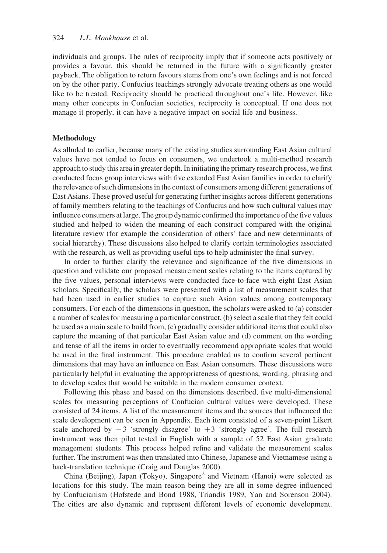individuals and groups. The rules of reciprocity imply that if someone acts positively or provides a favour, this should be returned in the future with a significantly greater payback. The obligation to return favours stems from one's own feelings and is not forced on by the other party. Confucius teachings strongly advocate treating others as one would like to be treated. Reciprocity should be practiced throughout one's life. However, like many other concepts in Confucian societies, reciprocity is conceptual. If one does not manage it properly, it can have a negative impact on social life and business.

### Methodology

As alluded to earlier, because many of the existing studies surrounding East Asian cultural values have not tended to focus on consumers, we undertook a multi-method research approach to study this area in greater depth. In initiating the primary research process, we first conducted focus group interviews with five extended East Asian families in order to clarify the relevance of such dimensions in the context of consumers among different generations of East Asians. These proved useful for generating further insights across different generations of family members relating to the teachings of Confucius and how such cultural values may influence consumers at large. The group dynamic confirmed the importance of the five values studied and helped to widen the meaning of each construct compared with the original literature review (for example the consideration of others' face and new determinants of social hierarchy). These discussions also helped to clarify certain terminologies associated with the research, as well as providing useful tips to help administer the final survey.

In order to further clarify the relevance and significance of the five dimensions in question and validate our proposed measurement scales relating to the items captured by the five values, personal interviews were conducted face-to-face with eight East Asian scholars. Specifically, the scholars were presented with a list of measurement scales that had been used in earlier studies to capture such Asian values among contemporary consumers. For each of the dimensions in question, the scholars were asked to (a) consider a number of scales for measuring a particular construct, (b) select a scale that they felt could be used as a main scale to build from, (c) gradually consider additional items that could also capture the meaning of that particular East Asian value and (d) comment on the wording and tense of all the items in order to eventually recommend appropriate scales that would be used in the final instrument. This procedure enabled us to confirm several pertinent dimensions that may have an influence on East Asian consumers. These discussions were particularly helpful in evaluating the appropriateness of questions, wording, phrasing and to develop scales that would be suitable in the modern consumer context.

Following this phase and based on the dimensions described, five multi-dimensional scales for measuring perceptions of Confucian cultural values were developed. These consisted of 24 items. A list of the measurement items and the sources that influenced the scale development can be seen in Appendix. Each item consisted of a seven-point Likert scale anchored by  $-3$  'strongly disagree' to  $+3$  'strongly agree'. The full research instrument was then pilot tested in English with a sample of 52 East Asian graduate management students. This process helped refine and validate the measurement scales further. The instrument was then translated into Chinese, Japanese and Vietnamese using a back-translation technique (Craig and Douglas 2000).

China (Beijing), Japan (Tokyo), Singapore<sup>2</sup> and Vietnam (Hanoi) were selected as locations for this study. The main reason being they are all in some degree influenced by Confucianism (Hofstede and Bond 1988, Triandis 1989, Yan and Sorenson 2004). The cities are also dynamic and represent different levels of economic development.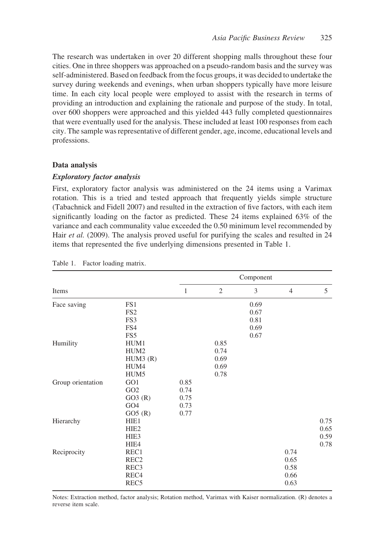The research was undertaken in over 20 different shopping malls throughout these four cities. One in three shoppers was approached on a pseudo-random basis and the survey was self-administered. Based on feedback from the focus groups, it was decided to undertake the survey during weekends and evenings, when urban shoppers typically have more leisure time. In each city local people were employed to assist with the research in terms of providing an introduction and explaining the rationale and purpose of the study. In total, over 600 shoppers were approached and this yielded 443 fully completed questionnaires that were eventually used for the analysis. These included at least 100 responses from each city. The sample was representative of different gender, age, income, educational levels and professions.

#### Data analysis

# Exploratory factor analysis

First, exploratory factor analysis was administered on the 24 items using a Varimax rotation. This is a tried and tested approach that frequently yields simple structure (Tabachnick and Fidell 2007) and resulted in the extraction of five factors, with each item significantly loading on the factor as predicted. These 24 items explained 63% of the variance and each communality value exceeded the 0.50 minimum level recommended by Hair et al. (2009). The analysis proved useful for purifying the scales and resulted in 24 items that represented the five underlying dimensions presented in Table 1.

|                   |                  |              |      | Component |                |      |
|-------------------|------------------|--------------|------|-----------|----------------|------|
| Items             |                  | $\mathbf{1}$ | 2    | 3         | $\overline{4}$ | 5    |
| Face saving       | FS1              |              |      | 0.69      |                |      |
|                   | FS <sub>2</sub>  |              |      | 0.67      |                |      |
|                   | FS3              |              |      | 0.81      |                |      |
|                   | FS4              |              |      | 0.69      |                |      |
|                   | FS5              |              |      | 0.67      |                |      |
| Humility          | HUM1             |              | 0.85 |           |                |      |
|                   | HUM <sub>2</sub> |              | 0.74 |           |                |      |
|                   | HUM3(R)          |              | 0.69 |           |                |      |
|                   | HUM4             |              | 0.69 |           |                |      |
|                   | HUM <sub>5</sub> |              | 0.78 |           |                |      |
| Group orientation | GO1              | 0.85         |      |           |                |      |
|                   | GO <sub>2</sub>  | 0.74         |      |           |                |      |
|                   | GO3(R)           | 0.75         |      |           |                |      |
|                   | GO <sub>4</sub>  | 0.73         |      |           |                |      |
|                   | GO5(R)           | 0.77         |      |           |                |      |
| Hierarchy         | HIE1             |              |      |           |                | 0.75 |
|                   | HIE <sub>2</sub> |              |      |           |                | 0.65 |
|                   | HIE <sub>3</sub> |              |      |           |                | 0.59 |
|                   | HIE4             |              |      |           |                | 0.78 |
| Reciprocity       | REC1             |              |      |           | 0.74           |      |
|                   | REC <sub>2</sub> |              |      |           | 0.65           |      |
|                   | REC <sub>3</sub> |              |      |           | 0.58           |      |
|                   | REC <sub>4</sub> |              |      |           | 0.66           |      |
|                   | REC <sub>5</sub> |              |      |           | 0.63           |      |

#### Table 1. Factor loading matrix.

Notes: Extraction method, factor analysis; Rotation method, Varimax with Kaiser normalization. (R) denotes a reverse item scale.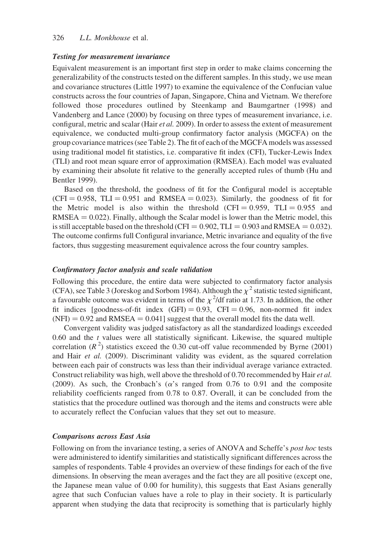## 326 L.L. Monkhouse et al.

#### Testing for measurement invariance

Equivalent measurement is an important first step in order to make claims concerning the generalizability of the constructs tested on the different samples. In this study, we use mean and covariance structures (Little 1997) to examine the equivalence of the Confucian value constructs across the four countries of Japan, Singapore, China and Vietnam. We therefore followed those procedures outlined by Steenkamp and Baumgartner (1998) and Vandenberg and Lance (2000) by focusing on three types of measurement invariance, i.e. configural, metric and scalar (Hair et al. 2009). In order to assess the extent of measurement equivalence, we conducted multi-group confirmatory factor analysis (MGCFA) on the group covariance matrices (see Table 2). The fit of each of the MGCFA models was assessed using traditional model fit statistics, i.e. comparative fit index (CFI), Tucker-Lewis Index (TLI) and root mean square error of approximation (RMSEA). Each model was evaluated by examining their absolute fit relative to the generally accepted rules of thumb (Hu and Bentler 1999).

Based on the threshold, the goodness of fit for the Configural model is acceptable  $(CFI = 0.958$ ,  $TLI = 0.951$  and RMSEA = 0.023). Similarly, the goodness of fit for the Metric model is also within the threshold (CFI = 0.959, TLI = 0.955 and  $RMSEA = 0.022$ ). Finally, although the Scalar model is lower than the Metric model, this is still acceptable based on the threshold (CFI =  $0.902$ , TLI =  $0.903$  and RMSEA =  $0.032$ ). The outcome confirms full Configural invariance, Metric invariance and equality of the five factors, thus suggesting measurement equivalence across the four country samples.

# Confirmatory factor analysis and scale validation

Following this procedure, the entire data were subjected to confirmatory factor analysis (CFA), see Table 3 (Joreskog and Sorbom 1984). Although the  $\chi^2$  statistic tested significant, a favourable outcome was evident in terms of the  $\chi^2$ /df ratio at 1.73. In addition, the other fit indices [goodness-of-fit index  $(GFI) = 0.93$ ,  $CFI = 0.96$ , non-normed fit index  $(NFI) = 0.92$  and RMSEA = 0.041] suggest that the overall model fits the data well.

Convergent validity was judged satisfactory as all the standardized loadings exceeded  $0.60$  and the  $t$  values were all statistically significant. Likewise, the squared multiple correlation ( $R<sup>2</sup>$ ) statistics exceed the 0.30 cut-off value recommended by Byrne (2001) and Hair et al. (2009). Discriminant validity was evident, as the squared correlation between each pair of constructs was less than their individual average variance extracted. Construct reliability was high, well above the threshold of 0.70 recommended by Hair et al. (2009). As such, the Cronbach's ( $\alpha$ 's ranged from 0.76 to 0.91 and the composite reliability coefficients ranged from 0.78 to 0.87. Overall, it can be concluded from the statistics that the procedure outlined was thorough and the items and constructs were able to accurately reflect the Confucian values that they set out to measure.

### Comparisons across East Asia

Following on from the invariance testing, a series of ANOVA and Scheffe's post hoc tests were administered to identify similarities and statistically significant differences across the samples of respondents. Table 4 provides an overview of these findings for each of the five dimensions. In observing the mean averages and the fact they are all positive (except one, the Japanese mean value of 0.00 for humility), this suggests that East Asians generally agree that such Confucian values have a role to play in their society. It is particularly apparent when studying the data that reciprocity is something that is particularly highly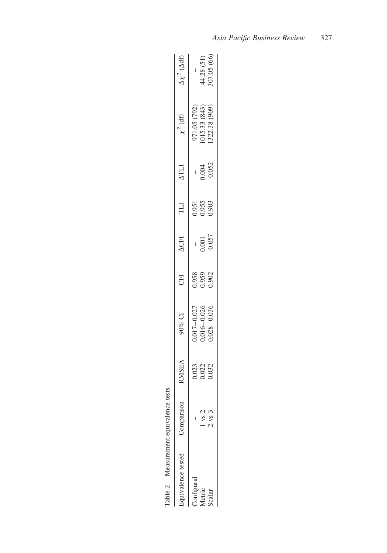| Table 2. Measurement equivalence | tests             |                         |                                                                                |                         |                                                    |                         |                     |                                                |                                   |
|----------------------------------|-------------------|-------------------------|--------------------------------------------------------------------------------|-------------------------|----------------------------------------------------|-------------------------|---------------------|------------------------------------------------|-----------------------------------|
| Equivalence tested               | Comparisor        | <b>ABSIN</b>            | 10% CI                                                                         | E                       | <b>ACFI</b>                                        | ПI                      | $\Delta TLI$        | $\chi^2$ (df)                                  | $\Delta \chi^2$ ( $\Delta \rm df$ |
| Configural                       |                   |                         |                                                                                |                         |                                                    |                         |                     |                                                |                                   |
| Metric                           | 1 vs 2            | 0.023<br>0.022<br>0.032 | $\begin{array}{c} 0.017 - 0.027 \\ 0.016 - 0.026 \\ 0.028 - 0.036 \end{array}$ | 0.958<br>0.959<br>0.902 | $\begin{array}{c}\n 0.001 \\ -0.057\n \end{array}$ | 0.951<br>0.955<br>0.903 | $0.004$<br>$-0.052$ | 971.05 (792)<br>1015.33 (843)<br>1322.38 (909) |                                   |
| scalar                           | $2 \text{ vs } 3$ |                         |                                                                                |                         |                                                    |                         |                     |                                                | 44.28 (51)<br>307.05 (66)         |
|                                  |                   |                         |                                                                                |                         |                                                    |                         |                     |                                                |                                   |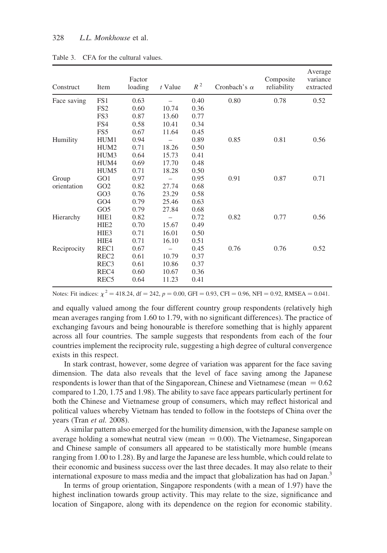| Construct   | Item             | Factor<br>loading | $t$ Value | $R^2$ | Cronbach's $\alpha$ | Composite<br>reliability | Average<br>variance<br>extracted |
|-------------|------------------|-------------------|-----------|-------|---------------------|--------------------------|----------------------------------|
| Face saving | FS1              | 0.63              |           | 0.40  | 0.80                | 0.78                     | 0.52                             |
|             | FS <sub>2</sub>  | 0.60              | 10.74     | 0.36  |                     |                          |                                  |
|             | FS3              | 0.87              | 13.60     | 0.77  |                     |                          |                                  |
|             | FS4              | 0.58              | 10.41     | 0.34  |                     |                          |                                  |
|             | FS <sub>5</sub>  | 0.67              | 11.64     | 0.45  |                     |                          |                                  |
| Humility    | HUM1             | 0.94              |           | 0.89  | 0.85                | 0.81                     | 0.56                             |
|             | HUM <sub>2</sub> | 0.71              | 18.26     | 0.50  |                     |                          |                                  |
|             | HUM3             | 0.64              | 15.73     | 0.41  |                     |                          |                                  |
|             | HUM4             | 0.69              | 17.70     | 0.48  |                     |                          |                                  |
|             | HUM <sub>5</sub> | 0.71              | 18.28     | 0.50  |                     |                          |                                  |
| Group       | GO1              | 0.97              |           | 0.95  | 0.91                | 0.87                     | 0.71                             |
| orientation | GO2              | 0.82              | 27.74     | 0.68  |                     |                          |                                  |
|             | GO <sub>3</sub>  | 0.76              | 23.29     | 0.58  |                     |                          |                                  |
|             | GO <sub>4</sub>  | 0.79              | 25.46     | 0.63  |                     |                          |                                  |
|             | GO <sub>5</sub>  | 0.79              | 27.84     | 0.68  |                     |                          |                                  |
| Hierarchy   | HIE1             | 0.82              |           | 0.72  | 0.82                | 0.77                     | 0.56                             |
|             | HIE <sub>2</sub> | 0.70              | 15.67     | 0.49  |                     |                          |                                  |
|             | HIE <sub>3</sub> | 0.71              | 16.01     | 0.50  |                     |                          |                                  |
|             | HIE4             | 0.71              | 16.10     | 0.51  |                     |                          |                                  |
| Reciprocity | REC1             | 0.67              |           | 0.45  | 0.76                | 0.76                     | 0.52                             |
|             | REC <sub>2</sub> | 0.61              | 10.79     | 0.37  |                     |                          |                                  |
|             | REC <sub>3</sub> | 0.61              | 10.86     | 0.37  |                     |                          |                                  |
|             | REC <sub>4</sub> | 0.60              | 10.67     | 0.36  |                     |                          |                                  |
|             | REC <sub>5</sub> | 0.64              | 11.23     | 0.41  |                     |                          |                                  |

Table 3. CFA for the cultural values.

Notes: Fit indices:  $\chi^2 = 418.24$ , df = 242, p = 0.00, GFI = 0.93, CFI = 0.96, NFI = 0.92, RMSEA = 0.041.

and equally valued among the four different country group respondents (relatively high mean averages ranging from 1.60 to 1.79, with no significant differences). The practice of exchanging favours and being honourable is therefore something that is highly apparent across all four countries. The sample suggests that respondents from each of the four countries implement the reciprocity rule, suggesting a high degree of cultural convergence exists in this respect.

In stark contrast, however, some degree of variation was apparent for the face saving dimension. The data also reveals that the level of face saving among the Japanese respondents is lower than that of the Singaporean, Chinese and Vietnamese (mean  $= 0.62$ ) compared to 1.20, 1.75 and 1.98). The ability to save face appears particularly pertinent for both the Chinese and Vietnamese group of consumers, which may reflect historical and political values whereby Vietnam has tended to follow in the footsteps of China over the years (Tran et al. 2008).

A similar pattern also emerged for the humility dimension, with the Japanese sample on average holding a somewhat neutral view (mean  $= 0.00$ ). The Vietnamese, Singaporean and Chinese sample of consumers all appeared to be statistically more humble (means ranging from 1.00 to 1.28). By and large the Japanese are less humble, which could relate to their economic and business success over the last three decades. It may also relate to their international exposure to mass media and the impact that globalization has had on Japan.<sup>3</sup>

In terms of group orientation, Singapore respondents (with a mean of 1.97) have the highest inclination towards group activity. This may relate to the size, significance and location of Singapore, along with its dependence on the region for economic stability.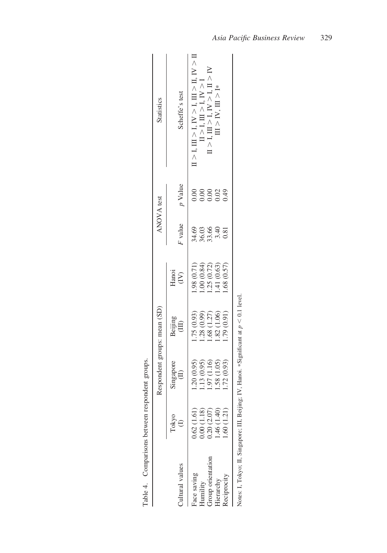| Table 4. Comparisons between respondent groups. |             |                              |                  |                          |                                      |                 |                                                                                                               |
|-------------------------------------------------|-------------|------------------------------|------------------|--------------------------|--------------------------------------|-----------------|---------------------------------------------------------------------------------------------------------------|
|                                                 |             | Respondent groups: mean (SD) |                  |                          |                                      | ANOVA test      | <b>Statistics</b>                                                                                             |
| Cultural values                                 | Tokyo       | Singapore<br>$\oplus$        | Beijing<br>(III) | Hanoi<br>$\widetilde{E}$ | F value                              | p Value         | Scheffe's test                                                                                                |
| Face saving                                     | 0.62(1.61)  | 1.20(0.95)                   | (.75(0.93))      | (1.98)(0.71)             |                                      | 0.00            | $\text{I} > \text{I}, \text{II} > \text{I}, \text{IV} > \text{I}, \text{II} > \text{I}, \text{IV} > \text{I}$ |
| Humility                                        | 0.00(1.18)  |                              | 1.28(0.99)       | (.00(0.84)               | 8<br>8<br>8<br>8<br>8<br>8<br>8<br>8 | 0.00            | II > I, II > I, IV > I                                                                                        |
| croup orientation                               | 0.20(2.07)  | 1.13 (0.95)<br>1.97 (1.16)   | 1.68(1.27)       | 1.25(0.72)               |                                      | 0.00            | 1 > 1, H > 1, N > 1, H > N                                                                                    |
| Herarchy                                        | 1.46 (1.40) | 1.58 (1.05)                  | 1.82(1.06)       | 1.41(0.63)               |                                      | 02 <sub>0</sub> | $\mathbb{II} > \mathbb{I} \mathsf{V}, \, \mathbb{II} > \mathbb{I}^*$                                          |
| Reciprocity                                     | 1.60(1.21)  | 1.72 (0.93)                  | 1.79 (0.91)      | (0.57)                   | 0.81                                 | 0.49            |                                                                                                               |
|                                                 |             |                              |                  |                          |                                      |                 |                                                                                                               |

| $+$                                             |  |
|-------------------------------------------------|--|
| 1                                               |  |
|                                                 |  |
|                                                 |  |
| ׆<br>֧֧֝֜                                       |  |
| $*$ Sigmiticant                                 |  |
| ore; III, Beijing; IV, Hano                     |  |
|                                                 |  |
|                                                 |  |
|                                                 |  |
|                                                 |  |
|                                                 |  |
|                                                 |  |
|                                                 |  |
|                                                 |  |
|                                                 |  |
|                                                 |  |
|                                                 |  |
| きょき じこき                                         |  |
| $\ddot{\zeta}$                                  |  |
|                                                 |  |
|                                                 |  |
|                                                 |  |
| s. 1, 10kyo, 11, Sillgap<br>$\frac{1}{2}$       |  |
|                                                 |  |
|                                                 |  |
|                                                 |  |
| $\frac{1}{2}$<br>$\breve{\mathsf{z}}$<br>Ì<br>ı |  |
|                                                 |  |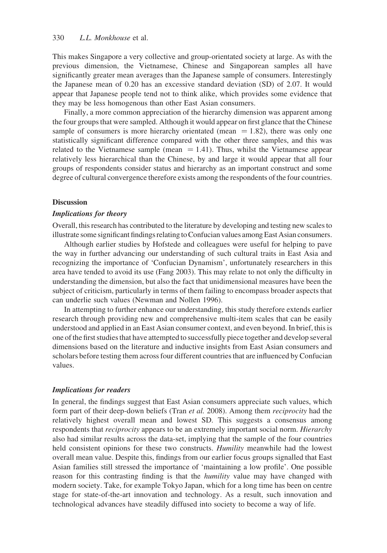This makes Singapore a very collective and group-orientated society at large. As with the previous dimension, the Vietnamese, Chinese and Singaporean samples all have significantly greater mean averages than the Japanese sample of consumers. Interestingly the Japanese mean of 0.20 has an excessive standard deviation (SD) of 2.07. It would appear that Japanese people tend not to think alike, which provides some evidence that they may be less homogenous than other East Asian consumers.

Finally, a more common appreciation of the hierarchy dimension was apparent among the four groups that were sampled. Although it would appear on first glance that the Chinese sample of consumers is more hierarchy orientated (mean  $= 1.82$ ), there was only one statistically significant difference compared with the other three samples, and this was related to the Vietnamese sample (mean  $= 1.41$ ). Thus, whilst the Vietnamese appear relatively less hierarchical than the Chinese, by and large it would appear that all four groups of respondents consider status and hierarchy as an important construct and some degree of cultural convergence therefore exists among the respondents of the four countries.

#### **Discussion**

#### Implications for theory

Overall, this research has contributed to the literature by developing and testing new scales to illustrate some significant findings relating to Confucian values among East Asian consumers.

Although earlier studies by Hofstede and colleagues were useful for helping to pave the way in further advancing our understanding of such cultural traits in East Asia and recognizing the importance of 'Confucian Dynamism', unfortunately researchers in this area have tended to avoid its use (Fang 2003). This may relate to not only the difficulty in understanding the dimension, but also the fact that unidimensional measures have been the subject of criticism, particularly in terms of them failing to encompass broader aspects that can underlie such values (Newman and Nollen 1996).

In attempting to further enhance our understanding, this study therefore extends earlier research through providing new and comprehensive multi-item scales that can be easily understood and applied in an East Asian consumer context, and even beyond. In brief, this is one of the first studies that have attempted to successfully piece together and develop several dimensions based on the literature and inductive insights from East Asian consumers and scholars before testing them across four different countries that are influenced by Confucian values.

# Implications for readers

In general, the findings suggest that East Asian consumers appreciate such values, which form part of their deep-down beliefs (Tran et al. 2008). Among them reciprocity had the relatively highest overall mean and lowest SD. This suggests a consensus among respondents that *reciprocity* appears to be an extremely important social norm. *Hierarchy* also had similar results across the data-set, implying that the sample of the four countries held consistent opinions for these two constructs. Humility meanwhile had the lowest overall mean value. Despite this, findings from our earlier focus groups signalled that East Asian families still stressed the importance of 'maintaining a low profile'. One possible reason for this contrasting finding is that the *humility* value may have changed with modern society. Take, for example Tokyo Japan, which for a long time has been on centre stage for state-of-the-art innovation and technology. As a result, such innovation and technological advances have steadily diffused into society to become a way of life.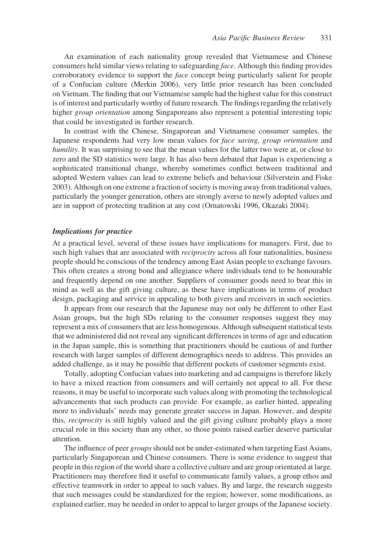An examination of each nationality group revealed that Vietnamese and Chinese consumers held similar views relating to safeguarding face. Although this finding provides corroboratory evidence to support the *face* concept being particularly salient for people of a Confucian culture (Merkin 2006), very little prior research has been concluded on Vietnam. The finding that our Vietnamese sample had the highest value for this construct is of interest and particularly worthy of future research. The findings regarding the relatively higher group orientation among Singaporeans also represent a potential interesting topic that could be investigated in further research.

In contrast with the Chinese, Singaporean and Vietnamese consumer samples, the Japanese respondents had very low mean values for face saving, group orientation and humility. It was surprising to see that the mean values for the latter two were at, or close to zero and the SD statistics were large. It has also been debated that Japan is experiencing a sophisticated transitional change, whereby sometimes conflict between traditional and adopted Western values can lead to extreme beliefs and behaviour (Silverstein and Fiske 2003). Although on one extreme a fraction of society is moving away from traditional values, particularly the younger generation, others are strongly averse to newly adopted values and are in support of protecting tradition at any cost (Ornatowski 1996, Okazaki 2004).

# Implications for practice

At a practical level, several of these issues have implications for managers. First, due to such high values that are associated with *reciprocity* across all four nationalities, business people should be conscious of the tendency among East Asian people to exchange favours. This often creates a strong bond and allegiance where individuals tend to be honourable and frequently depend on one another. Suppliers of consumer goods need to bear this in mind as well as the gift giving culture, as these have implications in terms of product design, packaging and service in appealing to both givers and receivers in such societies.

It appears from our research that the Japanese may not only be different to other East Asian groups, but the high SDs relating to the consumer responses suggest they may represent a mix of consumers that are less homogenous. Although subsequent statistical tests that we administered did not reveal any significant differences in terms of age and education in the Japan sample, this is something that practitioners should be cautious of and further research with larger samples of different demographics needs to address. This provides an added challenge, as it may be possible that different pockets of customer segments exist.

Totally, adopting Confucian values into marketing and ad campaigns is therefore likely to have a mixed reaction from consumers and will certainly not appeal to all. For these reasons, it may be useful to incorporate such values along with promoting the technological advancements that such products can provide. For example, as earlier hinted, appealing more to individuals' needs may generate greater success in Japan. However, and despite this, reciprocity is still highly valued and the gift giving culture probably plays a more crucial role in this society than any other, so those points raised earlier deserve particular attention.

The influence of peer groups should not be under-estimated when targeting East Asians, particularly Singaporean and Chinese consumers. There is some evidence to suggest that people in this region of the world share a collective culture and are group orientated at large. Practitioners may therefore find it useful to communicate family values, a group ethos and effective teamwork in order to appeal to such values. By and large, the research suggests that such messages could be standardized for the region; however, some modifications, as explained earlier, may be needed in order to appeal to larger groups of the Japanese society.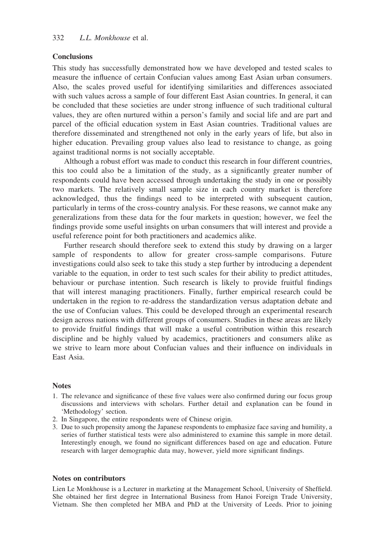#### **Conclusions**

This study has successfully demonstrated how we have developed and tested scales to measure the influence of certain Confucian values among East Asian urban consumers. Also, the scales proved useful for identifying similarities and differences associated with such values across a sample of four different East Asian countries. In general, it can be concluded that these societies are under strong influence of such traditional cultural values, they are often nurtured within a person's family and social life and are part and parcel of the official education system in East Asian countries. Traditional values are therefore disseminated and strengthened not only in the early years of life, but also in higher education. Prevailing group values also lead to resistance to change, as going against traditional norms is not socially acceptable.

Although a robust effort was made to conduct this research in four different countries, this too could also be a limitation of the study, as a significantly greater number of respondents could have been accessed through undertaking the study in one or possibly two markets. The relatively small sample size in each country market is therefore acknowledged, thus the findings need to be interpreted with subsequent caution, particularly in terms of the cross-country analysis. For these reasons, we cannot make any generalizations from these data for the four markets in question; however, we feel the findings provide some useful insights on urban consumers that will interest and provide a useful reference point for both practitioners and academics alike.

Further research should therefore seek to extend this study by drawing on a larger sample of respondents to allow for greater cross-sample comparisons. Future investigations could also seek to take this study a step further by introducing a dependent variable to the equation, in order to test such scales for their ability to predict attitudes, behaviour or purchase intention. Such research is likely to provide fruitful findings that will interest managing practitioners. Finally, further empirical research could be undertaken in the region to re-address the standardization versus adaptation debate and the use of Confucian values. This could be developed through an experimental research design across nations with different groups of consumers. Studies in these areas are likely to provide fruitful findings that will make a useful contribution within this research discipline and be highly valued by academics, practitioners and consumers alike as we strive to learn more about Confucian values and their influence on individuals in East Asia.

#### **Notes**

- 1. The relevance and significance of these five values were also confirmed during our focus group discussions and interviews with scholars. Further detail and explanation can be found in 'Methodology' section.
- 2. In Singapore, the entire respondents were of Chinese origin.
- 3. Due to such propensity among the Japanese respondents to emphasize face saving and humility, a series of further statistical tests were also administered to examine this sample in more detail. Interestingly enough, we found no significant differences based on age and education. Future research with larger demographic data may, however, yield more significant findings.

#### Notes on contributors

Lien Le Monkhouse is a Lecturer in marketing at the Management School, University of Sheffield. She obtained her first degree in International Business from Hanoi Foreign Trade University, Vietnam. She then completed her MBA and PhD at the University of Leeds. Prior to joining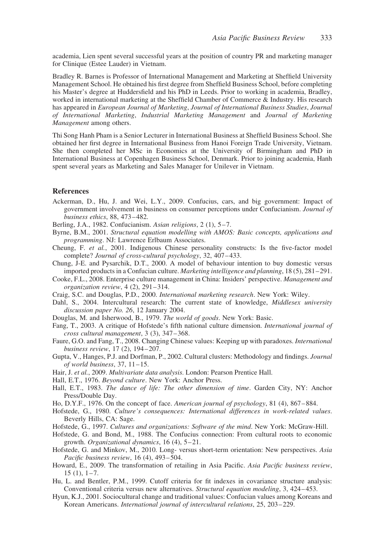academia, Lien spent several successful years at the position of country PR and marketing manager for Clinique (Estee Lauder) in Vietnam.

Bradley R. Barnes is Professor of International Management and Marketing at Sheffield University Management School. He obtained his first degree from Sheffield Business School, before completing his Master's degree at Huddersfield and his PhD in Leeds. Prior to working in academia, Bradley, worked in international marketing at the Sheffield Chamber of Commerce & Industry. His research has appeared in European Journal of Marketing, Journal of International Business Studies, Journal of International Marketing, Industrial Marketing Management and Journal of Marketing Management among others.

Thi Song Hanh Pham is a Senior Lecturer in International Business at Sheffield Business School. She obtained her first degree in International Business from Hanoi Foreign Trade University, Vietnam. She then completed her MSc in Economics at the University of Birmingham and PhD in International Business at Copenhagen Business School, Denmark. Prior to joining academia, Hanh spent several years as Marketing and Sales Manager for Unilever in Vietnam.

#### **References**

- Ackerman, D., Hu, J. and Wei, L.Y., 2009. Confucius, cars, and big government: Impact of government involvement in business on consumer perceptions under Confucianism. Journal of business ethics, 88, 473–482.
- Berling, J.A., 1982. Confucianism. Asian religions, 2 (1), 5–7.
- Byrne, B.M., 2001. Structural equation modelling with AMOS: Basic concepts, applications and programming. NJ: Lawrence Erlbaum Associates.
- Cheung, F. et al., 2001. Indigenous Chinese personality constructs: Is the five-factor model complete? Journal of cross-cultural psychology, 32, 407–433.
- Chung, J-E. and Pysarchik, D.T., 2000. A model of behaviour intention to buy domestic versus imported products in a Confucian culture. Marketing intelligence and planning, 18 (5), 281–291.
- Cooke, F.L., 2008. Enterprise culture management in China: Insiders' perspective. Management and organization review, 4 (2), 291–314.
- Craig, S.C. and Douglas, P.D., 2000. International marketing research. New York: Wiley.
- Dahl, S., 2004. Intercultural research: The current state of knowledge, Middlesex university discussion paper No. 26, 12 January 2004.
- Douglas, M. and Isherwood, B., 1979. The world of goods. New York: Basic.
- Fang, T., 2003. A critique of Hofstede's fifth national culture dimension. International journal of cross cultural management, 3 (3), 347–368.
- Faure, G.O. and Fang, T., 2008. Changing Chinese values: Keeping up with paradoxes. International business review, 17 (2), 194–207.
- Gupta, V., Hanges, P.J. and Dorfman, P., 2002. Cultural clusters: Methodology and findings. Journal of world business, 37, 11–15.
- Hair, J. et al., 2009. Multivariate data analysis. London: Pearson Prentice Hall.
- Hall, E.T., 1976. Beyond culture. New York: Anchor Press.
- Hall, E.T., 1983. The dance of life: The other dimension of time. Garden City, NY: Anchor Press/Double Day.
- Ho, D.Y.F., 1976. On the concept of face. American journal of psychology, 81 (4), 867–884.
- Hofstede, G., 1980. Culture's consequences: International differences in work-related values. Beverly Hills, CA: Sage.
- Hofstede, G., 1997. Cultures and organizations: Software of the mind. New York: McGraw-Hill.
- Hofstede, G. and Bond, M., 1988. The Confucius connection: From cultural roots to economic growth. Organizational dynamics, 16 (4), 5–21.
- Hofstede, G. and Minkov, M., 2010. Long- versus short-term orientation: New perspectives. Asia Pacific business review, 16 (4), 493–504.
- Howard, E., 2009. The transformation of retailing in Asia Pacific. Asia Pacific business review, 15 (1), 1–7.
- Hu, L. and Bentler, P.M., 1999. Cutoff criteria for fit indexes in covariance structure analysis: Conventional criteria versus new alternatives. Structural equation modeling, 3, 424–453.
- Hyun, K.J., 2001. Sociocultural change and traditional values: Confucian values among Koreans and Korean Americans. International journal of intercultural relations, 25, 203–229.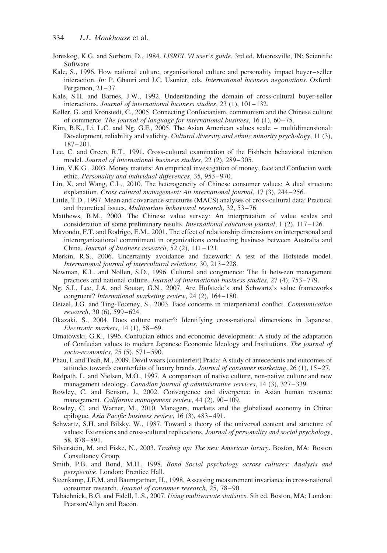- Joreskog, K.G. and Sorbom, D., 1984. LISREL VI user's guide. 3rd ed. Mooresville, IN: Scientific Software.
- Kale, S., 1996. How national culture, organisational culture and personality impact buyer–seller interaction. In: P. Ghauri and J.C. Usunier, eds. International business negotiations. Oxford: Pergamon, 21–37.
- Kale, S.H. and Barnes, J.W., 1992. Understanding the domain of cross-cultural buyer-seller interactions. Journal of international business studies, 23 (1), 101–132.
- Keller, G. and Kronstedt, C., 2005. Connecting Confucianism, communism and the Chinese culture of commerce. The journal of language for international business, 16 (1), 60–75.
- Kim, B.K., Li, L.C. and Ng, G.F., 2005. The Asian American values scale multidimensional: Development, reliability and validity. Cultural diversity and ethnic minority psychology, 11 (3), 187–201.
- Lee, C. and Green, R.T., 1991. Cross-cultural examination of the Fishbein behavioral intention model. Journal of international business studies, 22 (2), 289–305.
- Lim, V.K.G., 2003. Money matters: An empirical investigation of money, face and Confucian work ethic. Personality and individual differences, 35, 953–970.
- Lin, X. and Wang, C.L., 2010. The heterogeneity of Chinese consumer values: A dual structure explanation. Cross cultural management: An international journal, 17 (3), 244–256.
- Little, T.D., 1997. Mean and covariance structures (MACS) analyses of cross-cultural data: Practical and theoretical issues. Multivariate behavioral research, 32, 53–76.
- Matthews, B.M., 2000. The Chinese value survey: An interpretation of value scales and consideration of some preliminary results. International education journal, 1 (2), 117–126.
- Mavondo, F.T. and Rodrigo, E.M., 2001. The effect of relationship dimensions on interpersonal and interorganizational commitment in organizations conducting business between Australia and China. Journal of business research, 52 (2), 111–121.
- Merkin, R.S., 2006. Uncertainty avoidance and facework: A test of the Hofstede model. International journal of intercultural relations, 30, 213–228.
- Newman, K.L. and Nollen, S.D., 1996. Cultural and congruence: The fit between management practices and national culture. Journal of international business studies, 27 (4), 753–779.
- Ng, S.I., Lee, J.A. and Soutar, G.N., 2007. Are Hofstede's and Schwartz's value frameworks congruent? International marketing review, 24 (2), 164–180.
- Oetzel, J.G. and Ting-Toomey, S., 2003. Face concerns in interpersonal conflict. Communication research, 30 (6), 599–624.
- Okazaki, S., 2004. Does culture matter?: Identifying cross-national dimensions in Japanese. Electronic markets, 14 (1), 58–69.
- Ornatowski, G.K., 1996. Confucian ethics and economic development: A study of the adaptation of Confucian values to modern Japanese Economic Ideology and Institutions. The journal of socio-economics, 25 (5), 571–590.
- Phau, I. and Teah, M., 2009. Devil wears (counterfeit) Prada: A study of antecedents and outcomes of attitudes towards counterfeits of luxury brands. Journal of consumer marketing, 26 (1), 15–27.
- Redpath, L. and Nielsen, M.O., 1997. A comparison of native culture, non-native culture and new management ideology. *Canadian journal of administrative services*, 14 (3), 327–339.
- Rowley, C. and Benson, J., 2002. Convergence and divergence in Asian human resource management. California management review, 44 (2), 90–109.
- Rowley, C. and Warner, M., 2010. Managers, markets and the globalized economy in China: epilogue. Asia Pacific business review, 16 (3), 483–491.
- Schwartz, S.H. and Bilsky, W., 1987. Toward a theory of the universal content and structure of values: Extensions and cross-cultural replications. Journal of personality and social psychology, 58, 878–891.
- Silverstein, M. and Fiske, N., 2003. Trading up: The new American luxury. Boston, MA: Boston Consultancy Group.
- Smith, P.B. and Bond, M.H., 1998. Bond Social psychology across cultures: Analysis and perspective. London: Prentice Hall.
- Steenkamp, J.E.M. and Baumgartner, H., 1998. Assessing measurement invariance in cross-national consumer research. Journal of consumer research, 25, 78–90.
- Tabachnick, B.G. and Fidell, L.S., 2007. Using multivariate statistics. 5th ed. Boston, MA; London: Pearson/Allyn and Bacon.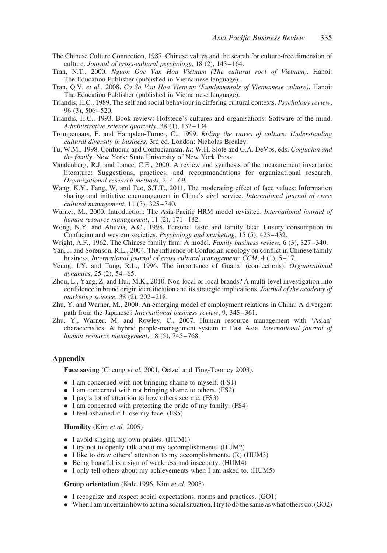- The Chinese Culture Connection, 1987. Chinese values and the search for culture-free dimension of culture. Journal of cross-cultural psychology, 18 (2), 143–164.
- Tran, N.T., 2000. Nguon Goc Van Hoa Vietnam (The cultural root of Vietnam). Hanoi: The Education Publisher (published in Vietnamese language).
- Tran, Q.V. et al., 2008. Co So Van Hoa Vietnam (Fundamentals of Vietnamese culture). Hanoi: The Education Publisher (published in Vietnamese language).
- Triandis, H.C., 1989. The self and social behaviour in differing cultural contexts. Psychology review, 96 (3), 506–520.
- Triandis, H.C., 1993. Book review: Hofstede's cultures and organisations: Software of the mind. Administrative science quarterly, 38 (1), 132–134.
- Trompenaars, F. and Hampden-Turner, C., 1999. Riding the waves of culture: Understanding cultural diversity in business. 3rd ed. London: Nicholas Brealey.
- Tu, W.M., 1998. Confucius and Confucianism. In: W.H. Slote and G.A. DeVos, eds. Confucian and the family. New York: State University of New York Press.
- Vandenberg, R.J. and Lance, C.E., 2000. A review and synthesis of the measurement invariance literature: Suggestions, practices, and recommendations for organizational research. Organizational research methods, 2, 4–69.
- Wang, K.Y., Fang, W. and Teo, S.T.T., 2011. The moderating effect of face values: Information sharing and initiative encouragement in China's civil service. International journal of cross cultural management, 11 (3), 325–340.
- Warner, M., 2000. Introduction: The Asia-Pacific HRM model revisited. International journal of human resource management, 11 (2), 171-182.
- Wong, N.Y. and Ahuvia, A.C., 1998. Personal taste and family face: Luxury consumption in Confucian and western societies. Psychology and marketing, 15 (5), 423–432.
- Wright, A.F., 1962. The Chinese family firm: A model. *Family business review*, 6 (3), 327–340.
- Yan, J. and Sorenson, R.L., 2004. The influence of Confucian ideology on conflict in Chinese family business. International journal of cross cultural management: CCM,  $4(1)$ ,  $5-17$ .
- Yeung, I.Y. and Tung, R.L., 1996. The importance of Guanxi (connections). Organisational dynamics, 25 (2), 54–65.
- Zhou, L., Yang, Z. and Hui, M.K., 2010. Non-local or local brands? A multi-level investigation into confidence in brand origin identification and its strategic implications. Journal of the academy of marketing science, 38 (2), 202–218.
- Zhu, Y. and Warner, M., 2000. An emerging model of employment relations in China: A divergent path from the Japanese? International business review, 9, 345–361.
- Zhu, Y., Warner, M. and Rowley, C., 2007. Human resource management with 'Asian' characteristics: A hybrid people-management system in East Asia. International journal of human resource management, 18 (5), 745–768.

## Appendix

Face saving (Cheung *et al.* 2001, Oetzel and Ting-Toomey 2003).

- . I am concerned with not bringing shame to myself. (FS1)
- . I am concerned with not bringing shame to others. (FS2)
- I pay a lot of attention to how others see me. (FS3)
- . I am concerned with protecting the pride of my family. (FS4)
- . I feel ashamed if I lose my face. (FS5)

#### Humility (Kim et al. 2005)

- . I avoid singing my own praises. (HUM1)
- . I try not to openly talk about my accomplishments. (HUM2)
- . I like to draw others' attention to my accomplishments. (R) (HUM3)
- . Being boastful is a sign of weakness and insecurity. (HUM4)
- . I only tell others about my achievements when I am asked to. (HUM5)

#### Group orientation (Kale 1996, Kim et al. 2005).

- . I recognize and respect social expectations, norms and practices. (GO1)
- . When I am uncertain how to act in a social situation, I try to do the same as what others do. (GO2)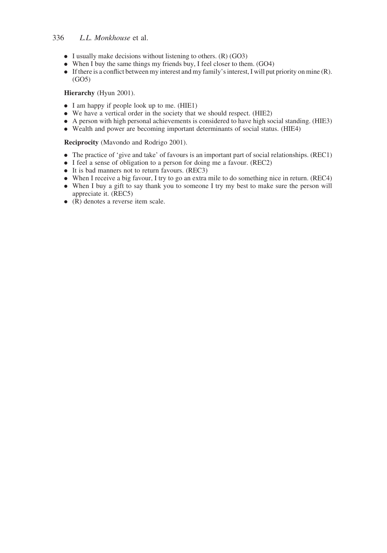# 336 L.L. Monkhouse et al.

- $\bullet$  I usually make decisions without listening to others. (R) (GO3)
- . When I buy the same things my friends buy, I feel closer to them. (GO4)
- . If there is a conflict between my interest and my family's interest, I will put priority on mine (R). (GO5)

### Hierarchy (Hyun 2001).

- . I am happy if people look up to me. (HIE1)
- . We have a vertical order in the society that we should respect. (HIE2)
- . A person with high personal achievements is considered to have high social standing. (HIE3)
- . Wealth and power are becoming important determinants of social status. (HIE4)

Reciprocity (Mavondo and Rodrigo 2001).

- . The practice of 'give and take' of favours is an important part of social relationships. (REC1)
- . I feel a sense of obligation to a person for doing me a favour. (REC2)
- . It is bad manners not to return favours. (REC3)
- . When I receive a big favour, I try to go an extra mile to do something nice in return. (REC4)
- . When I buy a gift to say thank you to someone I try my best to make sure the person will appreciate it. (REC5)
- $\bullet$  (R) denotes a reverse item scale.